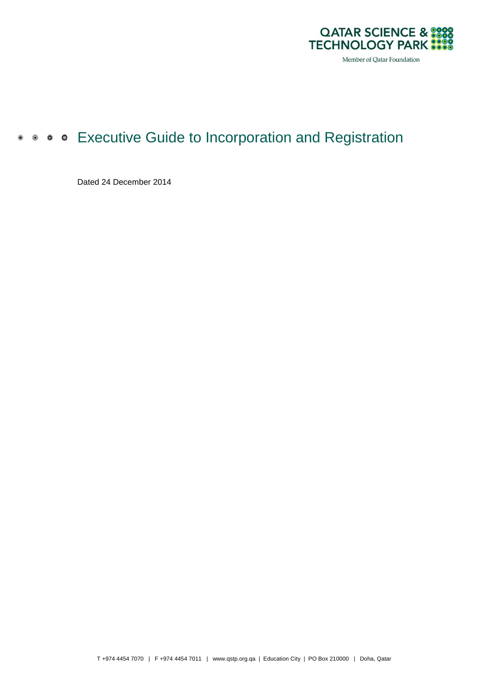

# **• • • • Executive Guide to Incorporation and Registration**

Dated 24 December 2014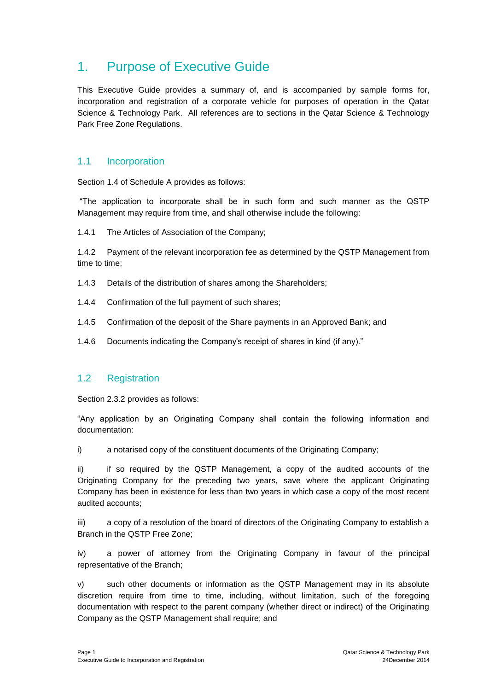# 1. Purpose of Executive Guide

This Executive Guide provides a summary of, and is accompanied by sample forms for, incorporation and registration of a corporate vehicle for purposes of operation in the Qatar Science & Technology Park. All references are to sections in the Qatar Science & Technology Park Free Zone Regulations.

## 1.1 Incorporation

Section 1.4 of Schedule A provides as follows:

"The application to incorporate shall be in such form and such manner as the QSTP Management may require from time, and shall otherwise include the following:

1.4.1 The Articles of Association of the Company;

1.4.2 Payment of the relevant incorporation fee as determined by the QSTP Management from time to time;

- 1.4.3 Details of the distribution of shares among the Shareholders;
- 1.4.4 Confirmation of the full payment of such shares;
- 1.4.5 Confirmation of the deposit of the Share payments in an Approved Bank; and
- 1.4.6 Documents indicating the Company's receipt of shares in kind (if any)."

### 1.2 Registration

Section 2.3.2 provides as follows:

"Any application by an Originating Company shall contain the following information and documentation:

i) a notarised copy of the constituent documents of the Originating Company;

ii) if so required by the QSTP Management, a copy of the audited accounts of the Originating Company for the preceding two years, save where the applicant Originating Company has been in existence for less than two years in which case a copy of the most recent audited accounts;

iii) a copy of a resolution of the board of directors of the Originating Company to establish a Branch in the QSTP Free Zone;

iv) a power of attorney from the Originating Company in favour of the principal representative of the Branch;

v) such other documents or information as the QSTP Management may in its absolute discretion require from time to time, including, without limitation, such of the foregoing documentation with respect to the parent company (whether direct or indirect) of the Originating Company as the QSTP Management shall require; and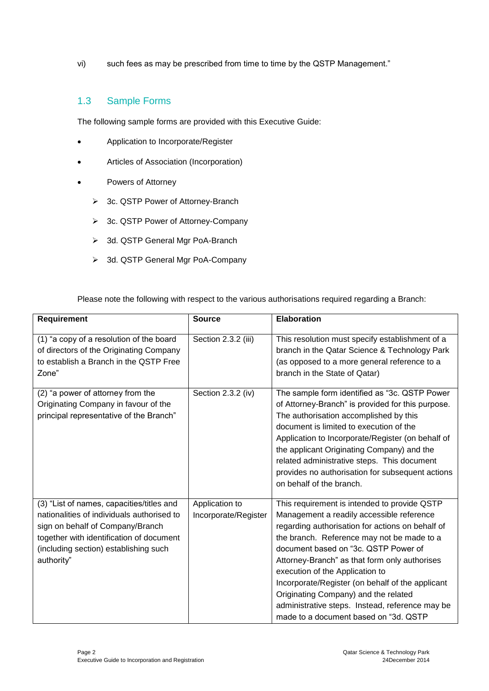vi) such fees as may be prescribed from time to time by the QSTP Management."

### 1.3 Sample Forms

The following sample forms are provided with this Executive Guide:

- Application to Incorporate/Register
- Articles of Association (Incorporation)
- Powers of Attorney
	- 3c. QSTP Power of Attorney-Branch
	- 3c. QSTP Power of Attorney-Company
	- > 3d. QSTP General Mgr PoA-Branch
	- > 3d. QSTP General Mgr PoA-Company

Please note the following with respect to the various authorisations required regarding a Branch:

| <b>Requirement</b>                                                                                                                                                                                                             | <b>Source</b>                          | <b>Elaboration</b>                                                                                                                                                                                                                                                                                                                                                                                                                                                                                              |
|--------------------------------------------------------------------------------------------------------------------------------------------------------------------------------------------------------------------------------|----------------------------------------|-----------------------------------------------------------------------------------------------------------------------------------------------------------------------------------------------------------------------------------------------------------------------------------------------------------------------------------------------------------------------------------------------------------------------------------------------------------------------------------------------------------------|
| (1) "a copy of a resolution of the board<br>of directors of the Originating Company<br>to establish a Branch in the QSTP Free<br>Zone"                                                                                         | Section 2.3.2 (iii)                    | This resolution must specify establishment of a<br>branch in the Qatar Science & Technology Park<br>(as opposed to a more general reference to a<br>branch in the State of Qatar)                                                                                                                                                                                                                                                                                                                               |
| (2) "a power of attorney from the<br>Originating Company in favour of the<br>principal representative of the Branch"                                                                                                           | Section 2.3.2 (iv)                     | The sample form identified as "3c. QSTP Power<br>of Attorney-Branch" is provided for this purpose.<br>The authorisation accomplished by this<br>document is limited to execution of the<br>Application to Incorporate/Register (on behalf of<br>the applicant Originating Company) and the<br>related administrative steps. This document<br>provides no authorisation for subsequent actions<br>on behalf of the branch.                                                                                       |
| (3) "List of names, capacities/titles and<br>nationalities of individuals authorised to<br>sign on behalf of Company/Branch<br>together with identification of document<br>(including section) establishing such<br>authority" | Application to<br>Incorporate/Register | This requirement is intended to provide QSTP<br>Management a readily accessible reference<br>regarding authorisation for actions on behalf of<br>the branch. Reference may not be made to a<br>document based on "3c. QSTP Power of<br>Attorney-Branch" as that form only authorises<br>execution of the Application to<br>Incorporate/Register (on behalf of the applicant<br>Originating Company) and the related<br>administrative steps. Instead, reference may be<br>made to a document based on "3d. QSTP |